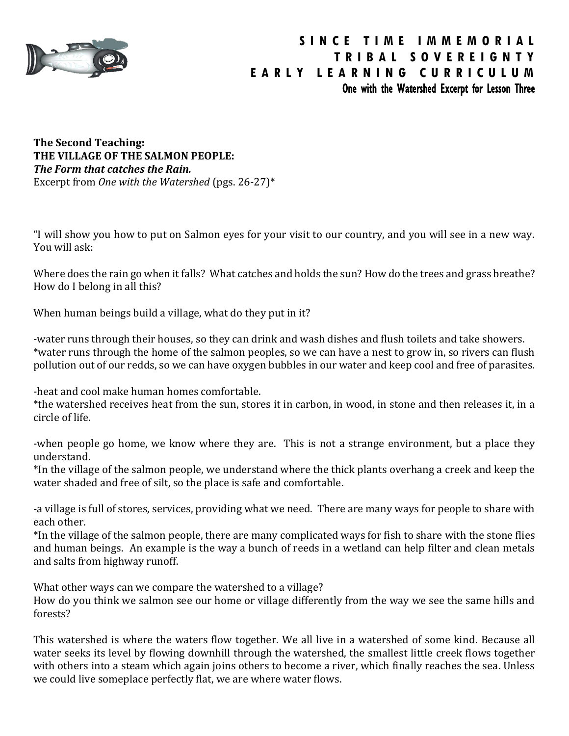

**The Second Teaching: THE VILLAGE OF THE SALMON PEOPLE:** *The Form that catches the Rain.* Excerpt from *One with the Watershed* (pgs. 26-27)\*

"I will show you how to put on Salmon eyes for your visit to our country, and you will see in a new way. You will ask:

Where does the rain go when it falls? What catches and holds the sun? How do the trees and grass breathe? How do I belong in all this?

When human beings build a village, what do they put in it?

-water runs through their houses, so they can drink and wash dishes and flush toilets and take showers. \*water runs through the home of the salmon peoples, so we can have a nest to grow in, so rivers can flush pollution out of our redds, so we can have oxygen bubbles in our water and keep cool and free of parasites.

-heat and cool make human homes comfortable.

\*the watershed receives heat from the sun, stores it in carbon, in wood, in stone and then releases it, in a circle of life.

-when people go home, we know where they are. This is not a strange environment, but a place they understand.

\*In the village of the salmon people, we understand where the thick plants overhang a creek and keep the water shaded and free of silt, so the place is safe and comfortable.

-a village is full of stores, services, providing what we need. There are many ways for people to share with each other.

\*In the village of the salmon people, there are many complicated ways for fish to share with the stone flies and human beings. An example is the way a bunch of reeds in a wetland can help filter and clean metals and salts from highway runoff.

What other ways can we compare the watershed to a village?

How do you think we salmon see our home or village differently from the way we see the same hills and forests?

This watershed is where the waters flow together. We all live in a watershed of some kind. Because all water seeks its level by flowing downhill through the watershed, the smallest little creek flows together with others into a steam which again joins others to become a river, which finally reaches the sea. Unless we could live someplace perfectly flat, we are where water flows.